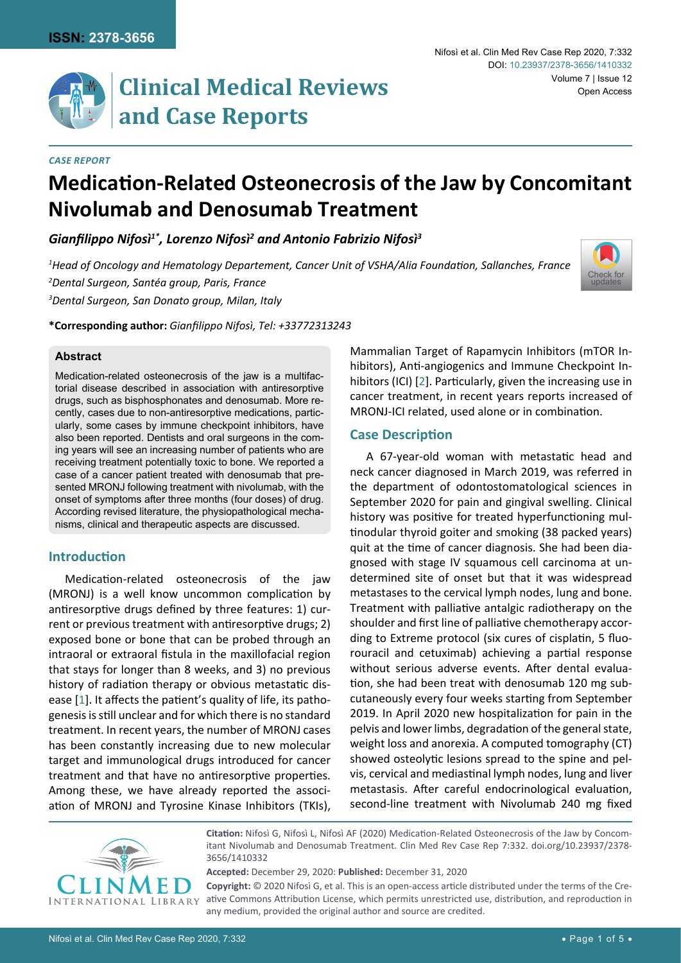

# **Clinical Medical Reviews and Case Reports**

#### *Case Report*

## **Medication-Related Osteonecrosis of the Jaw by Concomitant Nivolumab and Denosumab Treatment**

*Gianfilippo Nifosì1\*, Lorenzo Nifosì<sup>2</sup> and Antonio Fabrizio Nifosì<sup>3</sup>*

*1 Head of Oncology and Hematology Departement, Cancer Unit of VSHA/Alia Foundation, Sallanches, France 2 Dental Surgeon, Santéa group, Paris, France 3 Dental Surgeon, San Donato group, Milan, Italy*



**\*Corresponding author:** *Gianfilippo Nifosì, Tel: +33772313243*

#### **Abstract**

Medication-related osteonecrosis of the jaw is a multifactorial disease described in association with antiresorptive drugs, such as bisphosphonates and denosumab. More recently, cases due to non-antiresorptive medications, particularly, some cases by immune checkpoint inhibitors, have also been reported. Dentists and oral surgeons in the coming years will see an increasing number of patients who are receiving treatment potentially toxic to bone. We reported a case of a cancer patient treated with denosumab that presented MRONJ following treatment with nivolumab, with the onset of symptoms after three months (four doses) of drug. According revised literature, the physiopathological mechanisms, clinical and therapeutic aspects are discussed.

## **Introduction**

Medication-related osteonecrosis of the jaw (MRONJ) is a well know uncommon complication by antiresorptive drugs defined by three features: 1) current or previous treatment with antiresorptive drugs; 2) exposed bone or bone that can be probed through an intraoral or extraoral fistula in the maxillofacial region that stays for longer than 8 weeks, and 3) no previous history of radiation therapy or obvious metastatic disease [[1](#page-3-1)]. It affects the patient's quality of life, its pathogenesis is still unclear and for which there is no standard treatment. In recent years, the number of MRONJ cases has been constantly increasing due to new molecular target and immunological drugs introduced for cancer treatment and that have no antiresorptive properties. Among these, we have already reported the association of MRONJ and Tyrosine Kinase Inhibitors (TKIs),

Mammalian Target of Rapamycin Inhibitors (mTOR Inhibitors), Anti-angiogenics and Immune Checkpoint Inhibitors (ICI) [[2](#page-3-0)]. Particularly, given the increasing use in cancer treatment, in recent years reports increased of MRONJ-ICI related, used alone or in combination.

## **Case Description**

A 67-year-old woman with metastatic head and neck cancer diagnosed in March 2019, was referred in the department of odontostomatological sciences in September 2020 for pain and gingival swelling. Clinical history was positive for treated hyperfunctioning multinodular thyroid goiter and smoking (38 packed years) quit at the time of cancer diagnosis. She had been diagnosed with stage IV squamous cell carcinoma at undetermined site of onset but that it was widespread metastases to the cervical lymph nodes, lung and bone. Treatment with palliative antalgic radiotherapy on the shoulder and first line of palliative chemotherapy according to Extreme protocol (six cures of cisplatin, 5 fluorouracil and cetuximab) achieving a partial response without serious adverse events. After dental evaluation, she had been treat with denosumab 120 mg subcutaneously every four weeks starting from September 2019. In April 2020 new hospitalization for pain in the pelvis and lower limbs, degradation of the general state, weight loss and anorexia. A computed tomography (CT) showed osteolytic lesions spread to the spine and pelvis, cervical and mediastinal lymph nodes, lung and liver metastasis. After careful endocrinological evaluation, second-line treatment with Nivolumab 240 mg fixed



**Citation:** Nifosì G, Nifosì L, Nifosì AF (2020) Medication-Related Osteonecrosis of the Jaw by Concomitant Nivolumab and Denosumab Treatment. Clin Med Rev Case Rep 7:332. [doi.org/10.23937/2378-](https://doi.org/10.23937/2378-3656/1410332) [3656/1410332](https://doi.org/10.23937/2378-3656/1410332)

**Accepted:** December 29, 2020: **Published:** December 31, 2020 **Copyright:** © 2020 Nifosì G, et al. This is an open-access article distributed under the terms of the Cre-

ative Commons Attribution License, which permits unrestricted use, distribution, and reproduction in any medium, provided the original author and source are credited.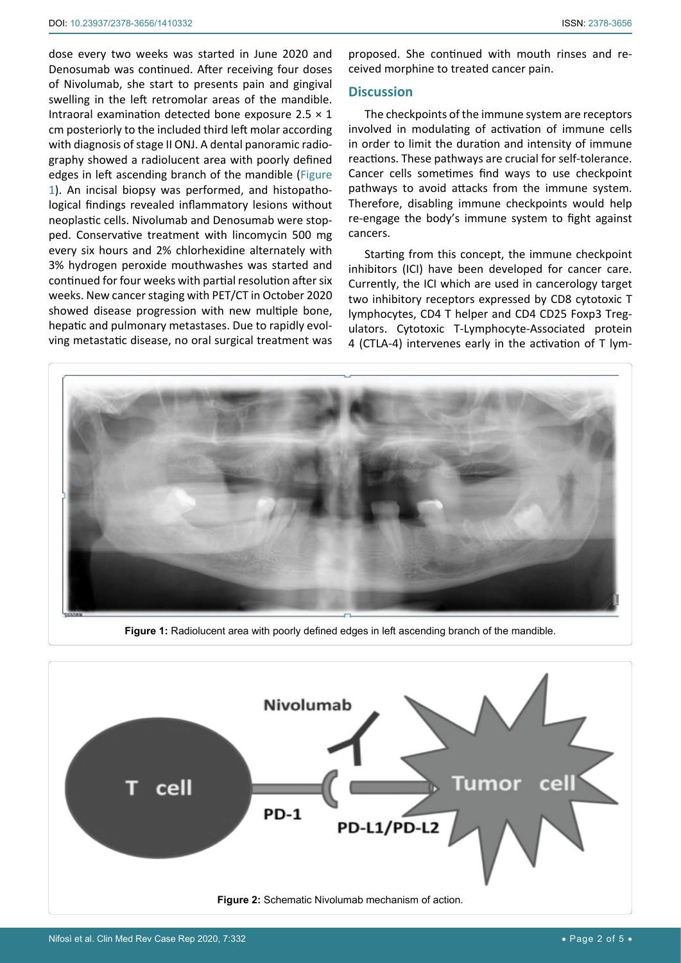dose every two weeks was started in June 2020 and Denosumab was continued. After receiving four doses of Nivolumab, she start to presents pain and gingival swelling in the left retromolar areas of the mandible. Intraoral examination detected bone exposure  $2.5 \times 1$ cm posteriorly to the included third left molar according with diagnosis of stage II ONJ. A dental panoramic radiography showed a radiolucent area with poorly defined edges in left ascending branch of the mandible ([Figure](#page-1-0)  [1](#page-1-0)). An incisal biopsy was performed, and histopathological findings revealed inflammatory lesions without neoplastic cells. Nivolumab and Denosumab were stopped. Conservative treatment with lincomycin 500 mg every six hours and 2% chlorhexidine alternately with 3% hydrogen peroxide mouthwashes was started and continued for four weeks with partial resolution after six weeks. New cancer staging with PET/CT in October 2020 showed disease progression with new multiple bone, hepatic and pulmonary metastases. Due to rapidly evolving metastatic disease, no oral surgical treatment was

proposed. She continued with mouth rinses and received morphine to treated cancer pain.

#### **Discussion**

The checkpoints of the immune system are receptors involved in modulating of activation of immune cells in order to limit the duration and intensity of immune reactions. These pathways are crucial for self-tolerance. Cancer cells sometimes find ways to use checkpoint pathways to avoid attacks from the immune system. Therefore, disabling immune checkpoints would help re-engage the body's immune system to fight against cancers.

Starting from this concept, the immune checkpoint inhibitors (ICI) have been developed for cancer care. Currently, the ICI which are used in cancerology target two inhibitory receptors expressed by CD8 cytotoxic T lymphocytes, CD4 T helper and CD4 CD25 Foxp3 Tregulators. Cytotoxic T-Lymphocyte-Associated protein 4 (CTLA-4) intervenes early in the activation of T lym-

<span id="page-1-0"></span>

**Figure 1:** Radiolucent area with poorly defined edges in left ascending branch of the mandible.

<span id="page-1-1"></span>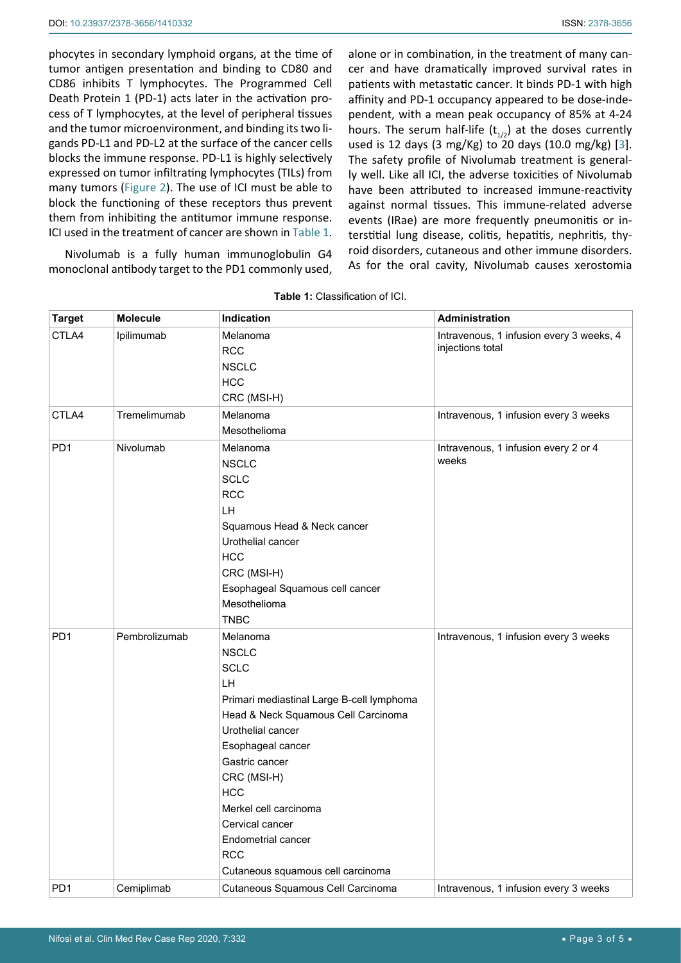phocytes in secondary lymphoid organs, at the time of tumor antigen presentation and binding to CD80 and CD86 inhibits T lymphocytes. The Programmed Cell Death Protein 1 (PD-1) acts later in the activation process of T lymphocytes, at the level of peripheral tissues and the tumor microenvironment, and binding its two ligands PD-L1 and PD-L2 at the surface of the cancer cells blocks the immune response. PD-L1 is highly selectively expressed on tumor infiltrating lymphocytes (TILs) from many tumors ([Figure 2](#page-1-1)). The use of ICI must be able to block the functioning of these receptors thus prevent them from inhibiting the antitumor immune response. ICI used in the treatment of cancer are shown in [Table 1.](#page-2-0)

Nivolumab is a fully human immunoglobulin G4 monoclonal antibody target to the PD1 commonly used, alone or in combination, in the treatment of many cancer and have dramatically improved survival rates in patients with metastatic cancer. It binds PD-1 with high affinity and PD-1 occupancy appeared to be dose-independent, with a mean peak occupancy of 85% at 4-24 hours. The serum half-life  $(t_{1/2})$  at the doses currently used is 12 days (3 mg/Kg) to 20 days (10.0 mg/kg) [[3](#page-4-0)]. The safety profile of Nivolumab treatment is generally well. Like all ICI, the adverse toxicities of Nivolumab have been attributed to increased immune-reactivity against normal tissues. This immune-related adverse events (IRae) are more frequently pneumonitis or interstitial lung disease, colitis, hepatitis, nephritis, thyroid disorders, cutaneous and other immune disorders. As for the oral cavity, Nivolumab causes xerostomia

| <b>Target</b>   | <b>Molecule</b> | Indication                                                                                                                                                                                                                                                                                                                                      | <b>Administration</b>                                        |
|-----------------|-----------------|-------------------------------------------------------------------------------------------------------------------------------------------------------------------------------------------------------------------------------------------------------------------------------------------------------------------------------------------------|--------------------------------------------------------------|
| CTLA4           | Ipilimumab      | Melanoma<br><b>RCC</b><br><b>NSCLC</b><br><b>HCC</b><br>CRC (MSI-H)                                                                                                                                                                                                                                                                             | Intravenous, 1 infusion every 3 weeks, 4<br>injections total |
| CTLA4           | Tremelimumab    | Melanoma<br>Mesothelioma                                                                                                                                                                                                                                                                                                                        | Intravenous, 1 infusion every 3 weeks                        |
| PD <sub>1</sub> | Nivolumab       | Melanoma<br><b>NSCLC</b><br><b>SCLC</b><br><b>RCC</b><br>LH<br>Squamous Head & Neck cancer<br>Urothelial cancer<br><b>HCC</b><br>CRC (MSI-H)<br>Esophageal Squamous cell cancer<br>Mesothelioma<br><b>TNBC</b>                                                                                                                                  | Intravenous, 1 infusion every 2 or 4<br>weeks                |
| PD <sub>1</sub> | Pembrolizumab   | Melanoma<br><b>NSCLC</b><br><b>SCLC</b><br>LH<br>Primari mediastinal Large B-cell lymphoma<br>Head & Neck Squamous Cell Carcinoma<br>Urothelial cancer<br>Esophageal cancer<br>Gastric cancer<br>CRC (MSI-H)<br><b>HCC</b><br>Merkel cell carcinoma<br>Cervical cancer<br>Endometrial cancer<br><b>RCC</b><br>Cutaneous squamous cell carcinoma | Intravenous, 1 infusion every 3 weeks                        |
| PD <sub>1</sub> | Cemiplimab      | Cutaneous Squamous Cell Carcinoma                                                                                                                                                                                                                                                                                                               | Intravenous, 1 infusion every 3 weeks                        |

<span id="page-2-0"></span>**Table 1:** Classification of ICI.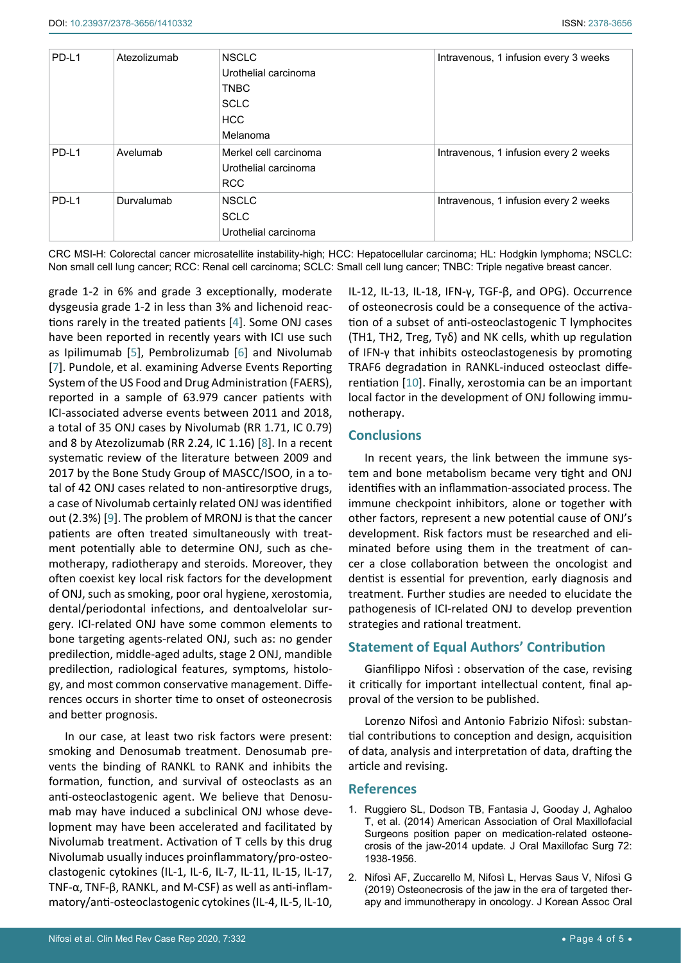| PD-L1 | Atezolizumab | <b>NSCLC</b>          | Intravenous, 1 infusion every 3 weeks |
|-------|--------------|-----------------------|---------------------------------------|
|       |              | Urothelial carcinoma  |                                       |
|       |              | TNBC                  |                                       |
|       |              | <b>SCLC</b>           |                                       |
|       |              | <b>HCC</b>            |                                       |
|       |              | Melanoma              |                                       |
| PD-L1 | Avelumab     | Merkel cell carcinoma | Intravenous, 1 infusion every 2 weeks |
|       |              | Urothelial carcinoma  |                                       |
|       |              | <b>RCC</b>            |                                       |
| PD-L1 | Durvalumab   | <b>NSCLC</b>          | Intravenous, 1 infusion every 2 weeks |
|       |              | <b>SCLC</b>           |                                       |
|       |              | Urothelial carcinoma  |                                       |

CRC MSI-H: Colorectal cancer microsatellite instability-high; HCC: Hepatocellular carcinoma; HL: Hodgkin lymphoma; NSCLC: Non small cell lung cancer; RCC: Renal cell carcinoma; SCLC: Small cell lung cancer; TNBC: Triple negative breast cancer.

grade 1-2 in 6% and grade 3 exceptionally, moderate dysgeusia grade 1-2 in less than 3% and lichenoid reactions rarely in the treated patients [\[4](#page-4-2)]. Some ONJ cases have been reported in recently years with ICI use such as Ipilimumab [[5](#page-4-3)], Pembrolizumab [[6](#page-4-4)] and Nivolumab [[7](#page-4-5)]. Pundole, et al. examining Adverse Events Reporting System of the US Food and Drug Administration (FAERS), reported in a sample of 63.979 cancer patients with ICI-associated adverse events between 2011 and 2018, a total of 35 ONJ cases by Nivolumab (RR 1.71, IC 0.79) and 8 by Atezolizumab (RR 2.24, IC 1.16) [[8](#page-4-6)]. In a recent systematic review of the literature between 2009 and 2017 by the Bone Study Group of MASCC/ISOO, in a total of 42 ONJ cases related to non-antiresorptive drugs, a case of Nivolumab certainly related ONJ was identified out (2.3%) [[9](#page-4-7)]. The problem of MRONJ is that the cancer patients are often treated simultaneously with treatment potentially able to determine ONJ, such as chemotherapy, radiotherapy and steroids. Moreover, they often coexist key local risk factors for the development of ONJ, such as smoking, poor oral hygiene, xerostomia, dental/periodontal infections, and dentoalvelolar surgery. ICI-related ONJ have some common elements to bone targeting agents-related ONJ, such as: no gender predilection, middle-aged adults, stage 2 ONJ, mandible predilection, radiological features, symptoms, histology, and most common conservative management. Differences occurs in shorter time to onset of osteonecrosis and better prognosis.

In our case, at least two risk factors were present: smoking and Denosumab treatment. Denosumab prevents the binding of RANKL to RANK and inhibits the formation, function, and survival of osteoclasts as an anti-osteoclastogenic agent. We believe that Denosumab may have induced a subclinical ONJ whose development may have been accelerated and facilitated by Nivolumab treatment. Activation of T cells by this drug Nivolumab usually induces proinflammatory/pro-osteoclastogenic cytokines (IL-1, IL-6, IL-7, IL-11, IL-15, IL-17, TNF-α, TNF-β, RANKL, and M-CSF) as well as anti-inflammatory/anti-osteoclastogenic cytokines (IL-4, IL-5, IL-10,

IL-12, IL-13, IL-18, IFN-γ, TGF-β, and OPG). Occurrence of osteonecrosis could be a consequence of the activation of a subset of anti-osteoclastogenic T lymphocites (TH1, TH2, Treg, Tγδ) and NK cells, whith up regulation of IFN-γ that inhibits osteoclastogenesis by promoting TRAF6 degradation in RANKL-induced osteoclast differentiation [[10](#page-4-1)]. Finally, xerostomia can be an important local factor in the development of ONJ following immunotherapy.

## **Conclusions**

In recent years, the link between the immune system and bone metabolism became very tight and ONJ identifies with an inflammation-associated process. The immune checkpoint inhibitors, alone or together with other factors, represent a new potential cause of ONJ's development. Risk factors must be researched and eliminated before using them in the treatment of cancer a close collaboration between the oncologist and dentist is essential for prevention, early diagnosis and treatment. Further studies are needed to elucidate the pathogenesis of ICI-related ONJ to develop prevention strategies and rational treatment.

## **Statement of Equal Authors' Contribution**

Gianfilippo Nifosì : observation of the case, revising it critically for important intellectual content, final approval of the version to be published.

Lorenzo Nifosì and Antonio Fabrizio Nifosì: substantial contributions to conception and design, acquisition of data, analysis and interpretation of data, drafting the article and revising.

#### **References**

- <span id="page-3-1"></span>1. [Ruggiero SL, Dodson TB, Fantasia J, Gooday J, Aghaloo](https://pubmed.ncbi.nlm.nih.gov/25234529/)  [T, et al. \(2014\) American Association of Oral Maxillofacial](https://pubmed.ncbi.nlm.nih.gov/25234529/)  [Surgeons position paper on medication-related osteone](https://pubmed.ncbi.nlm.nih.gov/25234529/)[crosis of the jaw-2014 update. J Oral Maxillofac Surg 72:](https://pubmed.ncbi.nlm.nih.gov/25234529/)  [1938-1956.](https://pubmed.ncbi.nlm.nih.gov/25234529/)
- <span id="page-3-0"></span>2. [Nifosì AF, Zuccarello M, Nifosì L, Hervas Saus V, Nifosì G](https://pubmed.ncbi.nlm.nih.gov/30847290/)  [\(2019\) Osteonecrosis of the jaw in the era of targeted ther](https://pubmed.ncbi.nlm.nih.gov/30847290/)[apy and immunotherapy in oncology. J Korean Assoc Oral](https://pubmed.ncbi.nlm.nih.gov/30847290/)